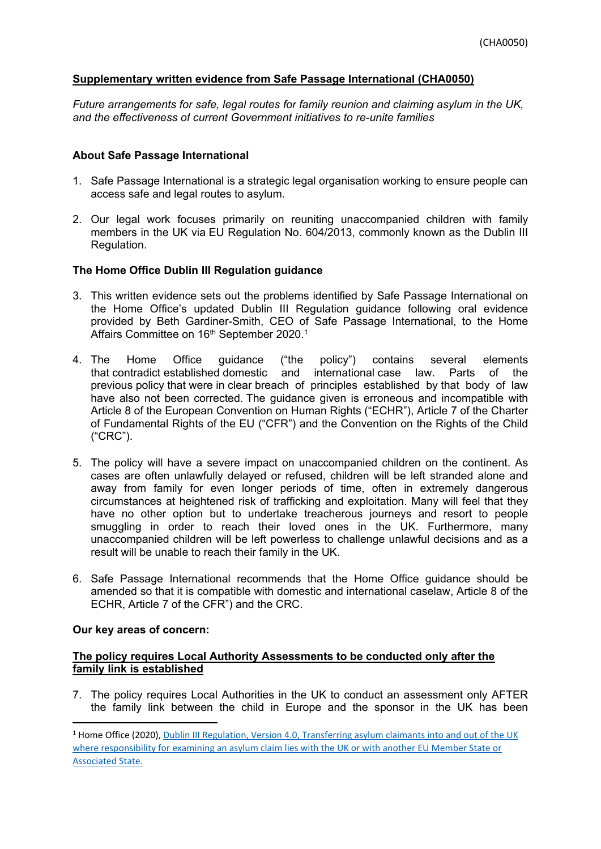### **Supplementary written evidence from Safe Passage International (CHA0050)**

*Future arrangements for safe, legal routes for family reunion and claiming asylum in the UK, and the effectiveness of current Government initiatives to re-unite families*

### **About Safe Passage International**

- 1. Safe Passage International is a strategic legal organisation working to ensure people can access safe and legal routes to asylum.
- 2. Our legal work focuses primarily on reuniting unaccompanied children with family members in the UK via EU Regulation No. 604/2013, commonly known as the Dublin III Regulation.

### **The Home Office Dublin III Regulation guidance**

- 3. This written evidence sets out the problems identified by Safe Passage International on the Home Office's updated Dublin III Regulation guidance following oral evidence provided by Beth Gardiner-Smith, CEO of Safe Passage International, to the Home Affairs Committee on 16th September 2020.<sup>1</sup>
- 4. The Home Office guidance ("the policy") contains several elements that contradict established domestic and international case law. Parts of the previous policy that were in clear breach of principles established by that body of law have also not been corrected. The guidance given is erroneous and incompatible with Article 8 of the European Convention on Human Rights ("ECHR"), Article 7 of the Charter of Fundamental Rights of the EU ("CFR") and the Convention on the Rights of the Child ("CRC").
- 5. The policy will have a severe impact on unaccompanied children on the continent. As cases are often unlawfully delayed or refused, children will be left stranded alone and away from family for even longer periods of time, often in extremely dangerous circumstances at heightened risk of trafficking and exploitation. Many will feel that they have no other option but to undertake treacherous journeys and resort to people smuggling in order to reach their loved ones in the UK. Furthermore, many unaccompanied children will be left powerless to challenge unlawful decisions and as a result will be unable to reach their family in the UK.
- 6. Safe Passage International recommends that the Home Office guidance should be amended so that it is compatible with domestic and international caselaw, Article 8 of the ECHR, Article 7 of the CFR") and the CRC.

#### **Our key areas of concern:**

### **The policy requires Local Authority Assessments to be conducted only after the family link is established**

7. The policy requires Local Authorities in the UK to conduct an assessment only AFTER the family link between the child in Europe and the sponsor in the UK has been

<sup>&</sup>lt;sup>1</sup> Home Office (2020), [Dublin](https://assets.publishing.service.gov.uk/government/uploads/system/uploads/attachment_data/file/909412/dublin-III-regulation.pdf) [III](https://assets.publishing.service.gov.uk/government/uploads/system/uploads/attachment_data/file/909412/dublin-III-regulation.pdf) [Regulation,](https://assets.publishing.service.gov.uk/government/uploads/system/uploads/attachment_data/file/909412/dublin-III-regulation.pdf) [Version](https://assets.publishing.service.gov.uk/government/uploads/system/uploads/attachment_data/file/909412/dublin-III-regulation.pdf) [4.0,](https://assets.publishing.service.gov.uk/government/uploads/system/uploads/attachment_data/file/909412/dublin-III-regulation.pdf) [Transferring](https://assets.publishing.service.gov.uk/government/uploads/system/uploads/attachment_data/file/909412/dublin-III-regulation.pdf) [asylum](https://assets.publishing.service.gov.uk/government/uploads/system/uploads/attachment_data/file/909412/dublin-III-regulation.pdf) [claimants](https://assets.publishing.service.gov.uk/government/uploads/system/uploads/attachment_data/file/909412/dublin-III-regulation.pdf) [into](https://assets.publishing.service.gov.uk/government/uploads/system/uploads/attachment_data/file/909412/dublin-III-regulation.pdf) [and](https://assets.publishing.service.gov.uk/government/uploads/system/uploads/attachment_data/file/909412/dublin-III-regulation.pdf) [out](https://assets.publishing.service.gov.uk/government/uploads/system/uploads/attachment_data/file/909412/dublin-III-regulation.pdf) [of](https://assets.publishing.service.gov.uk/government/uploads/system/uploads/attachment_data/file/909412/dublin-III-regulation.pdf) [the](https://assets.publishing.service.gov.uk/government/uploads/system/uploads/attachment_data/file/909412/dublin-III-regulation.pdf) [UK](https://assets.publishing.service.gov.uk/government/uploads/system/uploads/attachment_data/file/909412/dublin-III-regulation.pdf) [where](https://assets.publishing.service.gov.uk/government/uploads/system/uploads/attachment_data/file/909412/dublin-III-regulation.pdf) [responsibility](https://assets.publishing.service.gov.uk/government/uploads/system/uploads/attachment_data/file/909412/dublin-III-regulation.pdf) [for](https://assets.publishing.service.gov.uk/government/uploads/system/uploads/attachment_data/file/909412/dublin-III-regulation.pdf) [examining](https://assets.publishing.service.gov.uk/government/uploads/system/uploads/attachment_data/file/909412/dublin-III-regulation.pdf) [an](https://assets.publishing.service.gov.uk/government/uploads/system/uploads/attachment_data/file/909412/dublin-III-regulation.pdf) [asylum](https://assets.publishing.service.gov.uk/government/uploads/system/uploads/attachment_data/file/909412/dublin-III-regulation.pdf) [claim](https://assets.publishing.service.gov.uk/government/uploads/system/uploads/attachment_data/file/909412/dublin-III-regulation.pdf) [lies](https://assets.publishing.service.gov.uk/government/uploads/system/uploads/attachment_data/file/909412/dublin-III-regulation.pdf) [with](https://assets.publishing.service.gov.uk/government/uploads/system/uploads/attachment_data/file/909412/dublin-III-regulation.pdf) [the](https://assets.publishing.service.gov.uk/government/uploads/system/uploads/attachment_data/file/909412/dublin-III-regulation.pdf) [UK](https://assets.publishing.service.gov.uk/government/uploads/system/uploads/attachment_data/file/909412/dublin-III-regulation.pdf) [or](https://assets.publishing.service.gov.uk/government/uploads/system/uploads/attachment_data/file/909412/dublin-III-regulation.pdf) [with](https://assets.publishing.service.gov.uk/government/uploads/system/uploads/attachment_data/file/909412/dublin-III-regulation.pdf) [another](https://assets.publishing.service.gov.uk/government/uploads/system/uploads/attachment_data/file/909412/dublin-III-regulation.pdf) [EU](https://assets.publishing.service.gov.uk/government/uploads/system/uploads/attachment_data/file/909412/dublin-III-regulation.pdf) [Member](https://assets.publishing.service.gov.uk/government/uploads/system/uploads/attachment_data/file/909412/dublin-III-regulation.pdf) [State](https://assets.publishing.service.gov.uk/government/uploads/system/uploads/attachment_data/file/909412/dublin-III-regulation.pdf) [or](https://assets.publishing.service.gov.uk/government/uploads/system/uploads/attachment_data/file/909412/dublin-III-regulation.pdf) [Associated](https://assets.publishing.service.gov.uk/government/uploads/system/uploads/attachment_data/file/909412/dublin-III-regulation.pdf) [State.](https://assets.publishing.service.gov.uk/government/uploads/system/uploads/attachment_data/file/909412/dublin-III-regulation.pdf)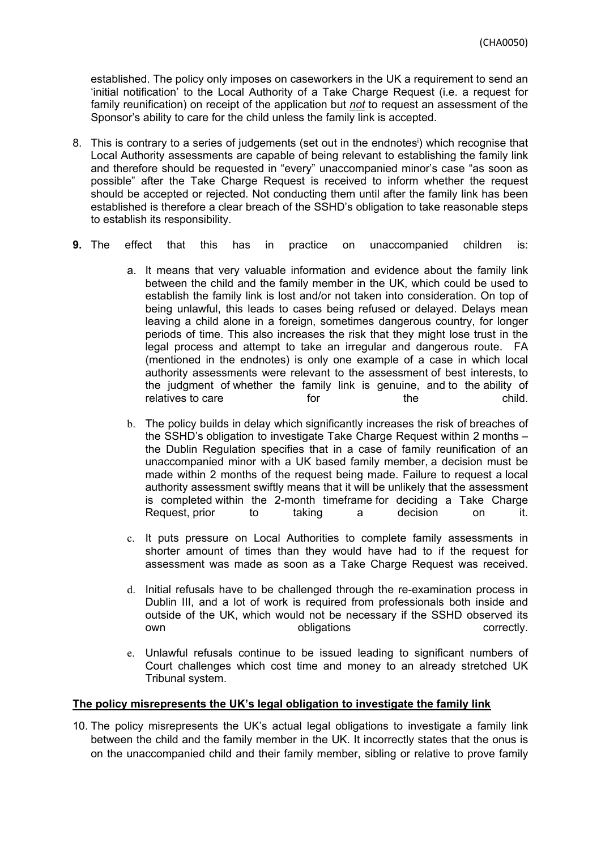established. The policy only imposes on caseworkers in the UK a requirement to send an 'initial notification' to the Local Authority of a Take Charge Request (i.e. a request for family reunification) on receipt of the application but *not* to request an assessment of the Sponsor's ability to care for the child unless the family link is accepted.

- 8. This is contrary to a series of judgements (set out in the endnotes<sup>i</sup>) which recognise that Local Authority assessments are capable of being relevant to establishing the family link and therefore should be requested in "every" unaccompanied minor's case "as soon as possible" after the Take Charge Request is received to inform whether the request should be accepted or rejected. Not conducting them until after the family link has been established is therefore a clear breach of the SSHD's obligation to take reasonable steps to establish its responsibility.
- **9.** The effect that this has in practice on unaccompanied children is:
	- a. It means that very valuable information and evidence about the family link between the child and the family member in the UK, which could be used to establish the family link is lost and/or not taken into consideration. On top of being unlawful, this leads to cases being refused or delayed. Delays mean leaving a child alone in a foreign, sometimes dangerous country, for longer periods of time. This also increases the risk that they might lose trust in the legal process and attempt to take an irregular and dangerous route. FA (mentioned in the endnotes) is only one example of a case in which local authority assessments were relevant to the assessment of best interests, to the judgment of whether the family link is genuine, and to the ability of relatives to care for the the child.
	- b. The policy builds in delay which significantly increases the risk of breaches of the SSHD's obligation to investigate Take Charge Request within 2 months – the Dublin Regulation specifies that in a case of family reunification of an unaccompanied minor with a UK based family member, a decision must be made within 2 months of the request being made. Failure to request a local authority assessment swiftly means that it will be unlikely that the assessment is completed within the 2-month timeframe for deciding a Take Charge Request, prior to taking a decision on it.
	- c. It puts pressure on Local Authorities to complete family assessments in shorter amount of times than they would have had to if the request for assessment was made as soon as a Take Charge Request was received.
	- d. Initial refusals have to be challenged through the re-examination process in Dublin III, and a lot of work is required from professionals both inside and outside of the UK, which would not be necessary if the SSHD observed its own **obligations** correctly.
	- e. Unlawful refusals continue to be issued leading to significant numbers of Court challenges which cost time and money to an already stretched UK Tribunal system.

## **The policy misrepresents the UK's legal obligation to investigate the family link**

10. The policy misrepresents the UK's actual legal obligations to investigate a family link between the child and the family member in the UK. It incorrectly states that the onus is on the unaccompanied child and their family member, sibling or relative to prove family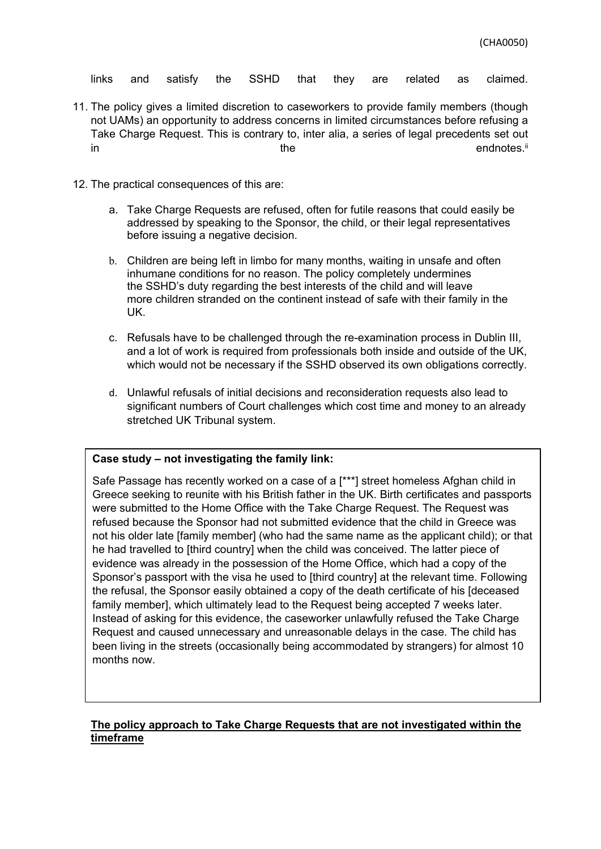links and satisfy the SSHD that they are related as claimed.

- 11. The policy gives a limited discretion to caseworkers to provide family members (though not UAMs) an opportunity to address concerns in limited circumstances before refusing a Take Charge Request. This is contrary to, inter alia, a series of legal precedents set out in the endnotes.<sup>ii</sup> the endnotes.<sup>ii</sup>
- 12. The practical consequences of this are:
	- a. Take Charge Requests are refused, often for futile reasons that could easily be addressed by speaking to the Sponsor, the child, or their legal representatives before issuing a negative decision.
	- b. Children are being left in limbo for many months, waiting in unsafe and often inhumane conditions for no reason. The policy completely undermines the SSHD's duty regarding the best interests of the child and will leave more children stranded on the continent instead of safe with their family in the UK.
	- c. Refusals have to be challenged through the re-examination process in Dublin III, and a lot of work is required from professionals both inside and outside of the UK, which would not be necessary if the SSHD observed its own obligations correctly.
	- d. Unlawful refusals of initial decisions and reconsideration requests also lead to significant numbers of Court challenges which cost time and money to an already stretched UK Tribunal system.

#### **Case study – not investigating the family link:**

Safe Passage has recently worked on a case of a [\*\*\*] street homeless Afghan child in Greece seeking to reunite with his British father in the UK. Birth certificates and passports were submitted to the Home Office with the Take Charge Request. The Request was refused because the Sponsor had not submitted evidence that the child in Greece was not his older late [family member] (who had the same name as the applicant child); or that he had travelled to [third country] when the child was conceived. The latter piece of evidence was already in the possession of the Home Office, which had a copy of the Sponsor's passport with the visa he used to [third country] at the relevant time. Following the refusal, the Sponsor easily obtained a copy of the death certificate of his [deceased family member], which ultimately lead to the Request being accepted 7 weeks later. Instead of asking for this evidence, the caseworker unlawfully refused the Take Charge Request and caused unnecessary and unreasonable delays in the case. The child has been living in the streets (occasionally being accommodated by strangers) for almost 10 months now.

### **The policy approach to Take Charge Requests that are not investigated within the timeframe**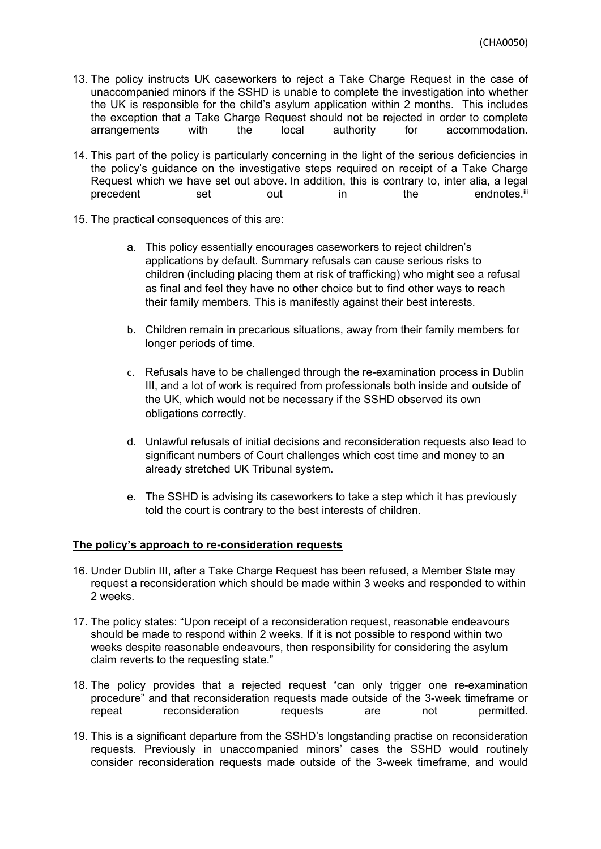- 13. The policy instructs UK caseworkers to reject a Take Charge Request in the case of unaccompanied minors if the SSHD is unable to complete the investigation into whether the UK is responsible for the child's asylum application within 2 months. This includes the exception that a Take Charge Request should not be rejected in order to complete arrangements with the local authority for accommodation.
- 14. This part of the policy is particularly concerning in the light of the serious deficiencies in the policy's guidance on the investigative steps required on receipt of a Take Charge Request which we have set out above. In addition, this is contrary to, inter alia, a legal precedent set out in the endnotes.<sup>iii</sup>
- 15. The practical consequences of this are:
	- a. This policy essentially encourages caseworkers to reject children's applications by default. Summary refusals can cause serious risks to children (including placing them at risk of trafficking) who might see a refusal as final and feel they have no other choice but to find other ways to reach their family members. This is manifestly against their best interests.
	- b. Children remain in precarious situations, away from their family members for longer periods of time.
	- c. Refusals have to be challenged through the re-examination process in Dublin III, and a lot of work is required from professionals both inside and outside of the UK, which would not be necessary if the SSHD observed its own obligations correctly.
	- d. Unlawful refusals of initial decisions and reconsideration requests also lead to significant numbers of Court challenges which cost time and money to an already stretched UK Tribunal system.
	- e. The SSHD is advising its caseworkers to take a step which it has previously told the court is contrary to the best interests of children.

## **The policy's approach to re-consideration requests**

- 16. Under Dublin III, after a Take Charge Request has been refused, a Member State may request a reconsideration which should be made within 3 weeks and responded to within 2 weeks.
- 17. The policy states: "Upon receipt of a reconsideration request, reasonable endeavours should be made to respond within 2 weeks. If it is not possible to respond within two weeks despite reasonable endeavours, then responsibility for considering the asylum claim reverts to the requesting state."
- 18. The policy provides that a rejected request "can only trigger one re-examination procedure" and that reconsideration requests made outside of the 3-week timeframe or repeat reconsideration requests are not permitted.
- 19. This is a significant departure from the SSHD's longstanding practise on reconsideration requests. Previously in unaccompanied minors' cases the SSHD would routinely consider reconsideration requests made outside of the 3-week timeframe, and would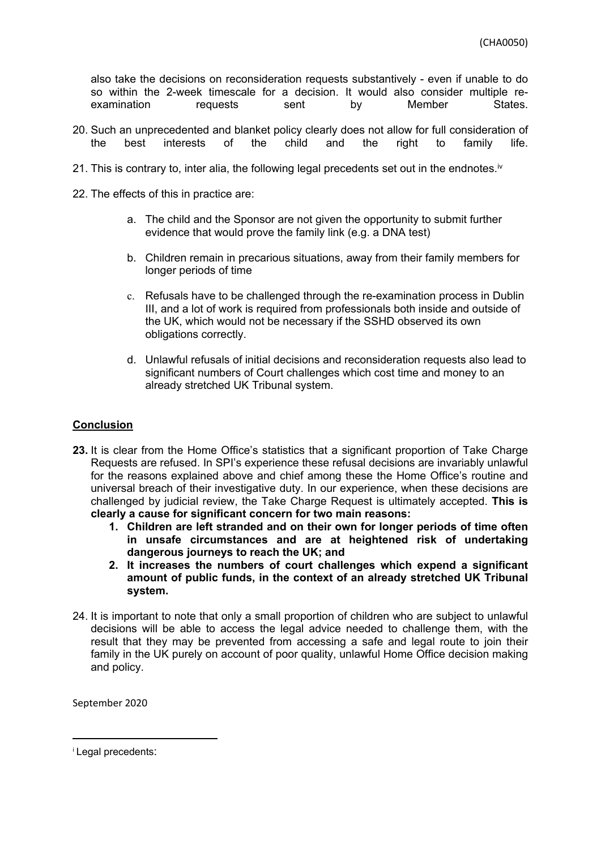also take the decisions on reconsideration requests substantively - even if unable to do so within the 2-week timescale for a decision. It would also consider multiple reexamination requests sent by Member States.

- 20. Such an unprecedented and blanket policy clearly does not allow for full consideration of<br>the best interests of the child and the right to family life. the best interests of the child and the right to family life.
- 21. This is contrary to, inter alia, the following legal precedents set out in the endnotes.<sup>iv</sup>
- 22. The effects of this in practice are:
	- a. The child and the Sponsor are not given the opportunity to submit further evidence that would prove the family link (e.g. a DNA test)
	- b. Children remain in precarious situations, away from their family members for longer periods of time
	- c. Refusals have to be challenged through the re-examination process in Dublin III, and a lot of work is required from professionals both inside and outside of the UK, which would not be necessary if the SSHD observed its own obligations correctly.
	- d. Unlawful refusals of initial decisions and reconsideration requests also lead to significant numbers of Court challenges which cost time and money to an already stretched UK Tribunal system.

# **Conclusion**

- **23.** It is clear from the Home Office's statistics that a significant proportion of Take Charge Requests are refused. In SPI's experience these refusal decisions are invariably unlawful for the reasons explained above and chief among these the Home Office's routine and universal breach of their investigative duty. In our experience, when these decisions are challenged by judicial review, the Take Charge Request is ultimately accepted. **This is clearly a cause for significant concern for two main reasons:**
	- **1. Children are left stranded and on their own for longer periods of time often in unsafe circumstances and are at heightened risk of undertaking dangerous journeys to reach the UK; and**
	- **2. It increases the numbers of court challenges which expend a significant amount of public funds, in the context of an already stretched UK Tribunal system.**
- 24. It is important to note that only a small proportion of children who are subject to unlawful decisions will be able to access the legal advice needed to challenge them, with the result that they may be prevented from accessing a safe and legal route to join their family in the UK purely on account of poor quality, unlawful Home Office decision making and policy.

September 2020

<sup>i</sup> Legal precedents: